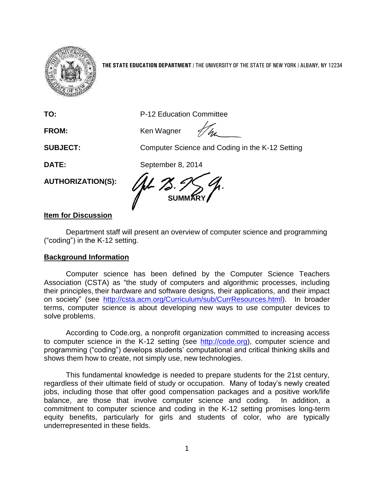

**THE STATE EDUCATION DEPARTMENT** / THE UNIVERSITY OF THE STATE OF NEW YORK / ALBANY, NY 12234

**TO:** P-12 Education Committee

FROM: Ken Wagner

**SUBJECT:** Computer Science and Coding in the K-12 Setting

**DATE:** September 8, 2014

**SUMMARY**

# **Item for Discussion**

**AUTHORIZATION(S):**

Department staff will present an overview of computer science and programming ("coding") in the K-12 setting.

## **Background Information**

Computer science has been defined by the Computer Science Teachers Association (CSTA) as "the study of computers and algorithmic processes, including their principles, their hardware and software designs, their applications, and their impact on society" (see [http://csta.acm.org/Curriculum/sub/CurrResources.html\)](http://csta.acm.org/Curriculum/sub/CurrResources.html). In broader terms, computer science is about developing new ways to use computer devices to solve problems.

According to Code.org, a nonprofit organization committed to increasing access to computer science in the K-12 setting (see [http://code.org\)](http://code.org/), computer science and programming ("coding") develops students' computational and critical thinking skills and shows them how to create, not simply use, new technologies.

This fundamental knowledge is needed to prepare students for the 21st century, regardless of their ultimate field of study or occupation. Many of today's newly created jobs, including those that offer good compensation packages and a positive work/life balance, are those that involve computer science and coding. In addition, a commitment to computer science and coding in the K-12 setting promises long-term equity benefits, particularly for girls and students of color, who are typically underrepresented in these fields.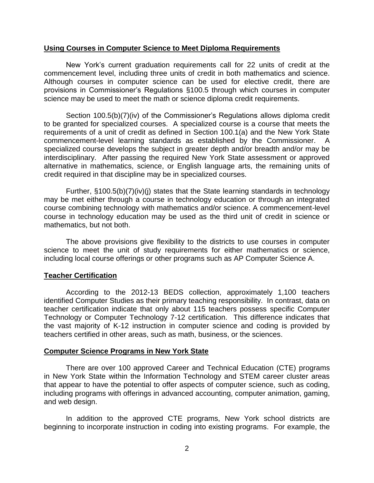#### **Using Courses in Computer Science to Meet Diploma Requirements**

New York's current graduation requirements call for 22 units of credit at the commencement level, including three units of credit in both mathematics and science. Although courses in computer science can be used for elective credit, there are provisions in Commissioner's Regulations §100.5 through which courses in computer science may be used to meet the math or science diploma credit requirements.

Section 100.5(b)(7)(iv) of the Commissioner's Regulations allows diploma credit to be granted for specialized courses. A specialized course is a course that meets the requirements of a unit of credit as defined in Section 100.1(a) and the New York State commencement-level learning standards as established by the Commissioner. A specialized course develops the subject in greater depth and/or breadth and/or may be interdisciplinary. After passing the required New York State assessment or approved alternative in mathematics, science, or English language arts, the remaining units of credit required in that discipline may be in specialized courses.

Further, §100.5(b)(7)(iv)(j) states that the State learning standards in technology may be met either through a course in technology education or through an integrated course combining technology with mathematics and/or science. A commencement-level course in technology education may be used as the third unit of credit in science or mathematics, but not both.

The above provisions give flexibility to the districts to use courses in computer science to meet the unit of study requirements for either mathematics or science, including local course offerings or other programs such as AP Computer Science A.

### **Teacher Certification**

According to the 2012-13 BEDS collection, approximately 1,100 teachers identified Computer Studies as their primary teaching responsibility. In contrast, data on teacher certification indicate that only about 115 teachers possess specific Computer Technology or Computer Technology 7-12 certification. This difference indicates that the vast majority of K-12 instruction in computer science and coding is provided by teachers certified in other areas, such as math, business, or the sciences.

### **Computer Science Programs in New York State**

There are over 100 approved Career and Technical Education (CTE) programs in New York State within the Information Technology and STEM career cluster areas that appear to have the potential to offer aspects of computer science, such as coding, including programs with offerings in advanced accounting, computer animation, gaming, and web design.

In addition to the approved CTE programs, New York school districts are beginning to incorporate instruction in coding into existing programs. For example, the